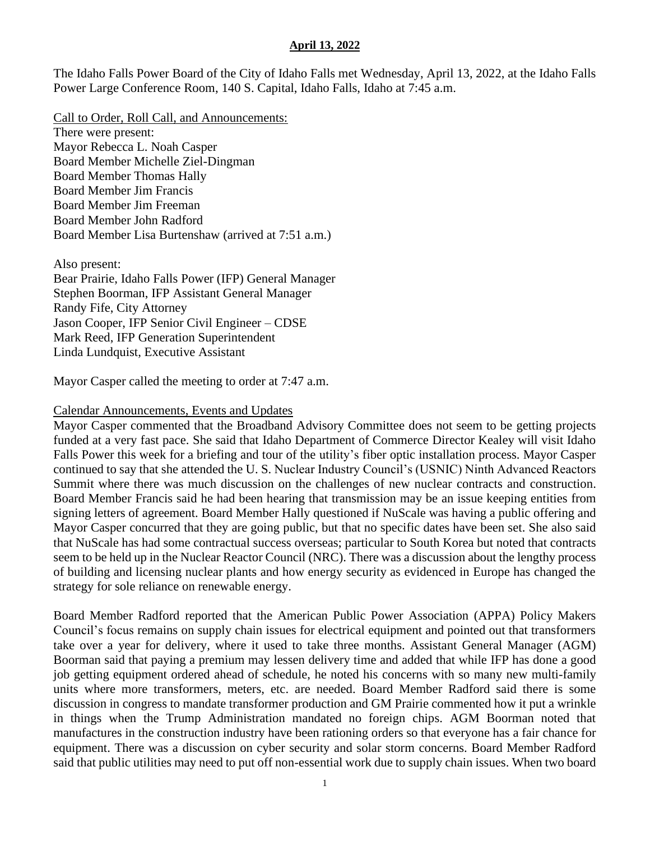The Idaho Falls Power Board of the City of Idaho Falls met Wednesday, April 13, 2022, at the Idaho Falls Power Large Conference Room, 140 S. Capital, Idaho Falls, Idaho at 7:45 a.m.

Call to Order, Roll Call, and Announcements: There were present: Mayor Rebecca L. Noah Casper Board Member Michelle Ziel-Dingman Board Member Thomas Hally Board Member Jim Francis Board Member Jim Freeman Board Member John Radford Board Member Lisa Burtenshaw (arrived at 7:51 a.m.)

Also present: Bear Prairie, Idaho Falls Power (IFP) General Manager Stephen Boorman, IFP Assistant General Manager Randy Fife, City Attorney Jason Cooper, IFP Senior Civil Engineer – CDSE Mark Reed, IFP Generation Superintendent Linda Lundquist, Executive Assistant

Mayor Casper called the meeting to order at 7:47 a.m.

#### Calendar Announcements, Events and Updates

Mayor Casper commented that the Broadband Advisory Committee does not seem to be getting projects funded at a very fast pace. She said that Idaho Department of Commerce Director Kealey will visit Idaho Falls Power this week for a briefing and tour of the utility's fiber optic installation process. Mayor Casper continued to say that she attended the U. S. Nuclear Industry Council's (USNIC) Ninth Advanced Reactors Summit where there was much discussion on the challenges of new nuclear contracts and construction. Board Member Francis said he had been hearing that transmission may be an issue keeping entities from signing letters of agreement. Board Member Hally questioned if NuScale was having a public offering and Mayor Casper concurred that they are going public, but that no specific dates have been set. She also said that NuScale has had some contractual success overseas; particular to South Korea but noted that contracts seem to be held up in the Nuclear Reactor Council (NRC). There was a discussion about the lengthy process of building and licensing nuclear plants and how energy security as evidenced in Europe has changed the strategy for sole reliance on renewable energy.

Board Member Radford reported that the American Public Power Association (APPA) Policy Makers Council's focus remains on supply chain issues for electrical equipment and pointed out that transformers take over a year for delivery, where it used to take three months. Assistant General Manager (AGM) Boorman said that paying a premium may lessen delivery time and added that while IFP has done a good job getting equipment ordered ahead of schedule, he noted his concerns with so many new multi-family units where more transformers, meters, etc. are needed. Board Member Radford said there is some discussion in congress to mandate transformer production and GM Prairie commented how it put a wrinkle in things when the Trump Administration mandated no foreign chips. AGM Boorman noted that manufactures in the construction industry have been rationing orders so that everyone has a fair chance for equipment. There was a discussion on cyber security and solar storm concerns. Board Member Radford said that public utilities may need to put off non-essential work due to supply chain issues. When two board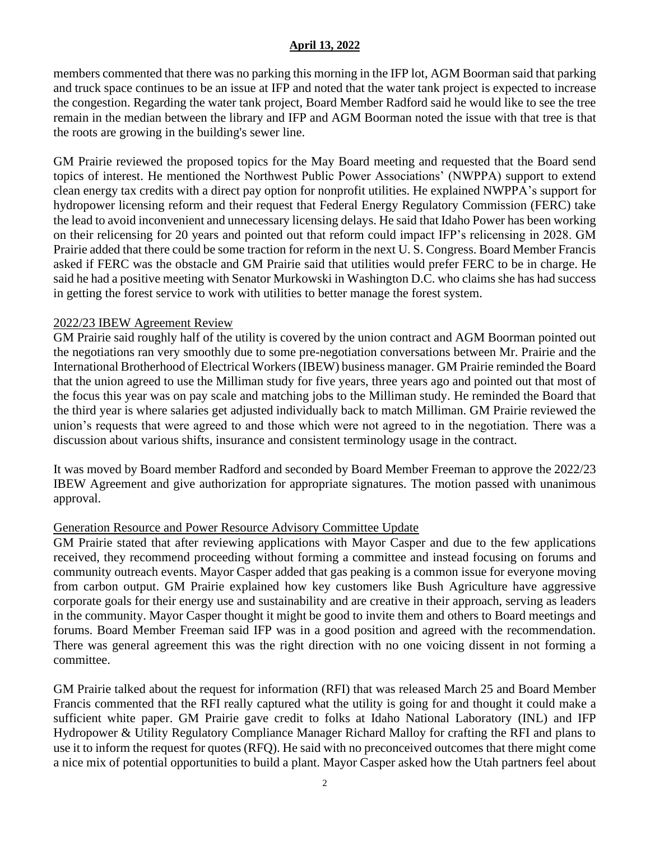members commented that there was no parking this morning in the IFP lot, AGM Boorman said that parking and truck space continues to be an issue at IFP and noted that the water tank project is expected to increase the congestion. Regarding the water tank project, Board Member Radford said he would like to see the tree remain in the median between the library and IFP and AGM Boorman noted the issue with that tree is that the roots are growing in the building's sewer line.

GM Prairie reviewed the proposed topics for the May Board meeting and requested that the Board send topics of interest. He mentioned the Northwest Public Power Associations' (NWPPA) support to extend clean energy tax credits with a direct pay option for nonprofit utilities. He explained NWPPA's support for hydropower licensing reform and their request that Federal Energy Regulatory Commission (FERC) take the lead to avoid inconvenient and unnecessary licensing delays. He said that Idaho Power has been working on their relicensing for 20 years and pointed out that reform could impact IFP's relicensing in 2028. GM Prairie added that there could be some traction for reform in the next U. S. Congress. Board Member Francis asked if FERC was the obstacle and GM Prairie said that utilities would prefer FERC to be in charge. He said he had a positive meeting with Senator Murkowski in Washington D.C. who claims she has had success in getting the forest service to work with utilities to better manage the forest system.

# 2022/23 IBEW Agreement Review

GM Prairie said roughly half of the utility is covered by the union contract and AGM Boorman pointed out the negotiations ran very smoothly due to some pre-negotiation conversations between Mr. Prairie and the International Brotherhood of Electrical Workers (IBEW) business manager. GM Prairie reminded the Board that the union agreed to use the Milliman study for five years, three years ago and pointed out that most of the focus this year was on pay scale and matching jobs to the Milliman study. He reminded the Board that the third year is where salaries get adjusted individually back to match Milliman. GM Prairie reviewed the union's requests that were agreed to and those which were not agreed to in the negotiation. There was a discussion about various shifts, insurance and consistent terminology usage in the contract.

It was moved by Board member Radford and seconded by Board Member Freeman to approve the 2022/23 IBEW Agreement and give authorization for appropriate signatures. The motion passed with unanimous approval.

# Generation Resource and Power Resource Advisory Committee Update

GM Prairie stated that after reviewing applications with Mayor Casper and due to the few applications received, they recommend proceeding without forming a committee and instead focusing on forums and community outreach events. Mayor Casper added that gas peaking is a common issue for everyone moving from carbon output. GM Prairie explained how key customers like Bush Agriculture have aggressive corporate goals for their energy use and sustainability and are creative in their approach, serving as leaders in the community. Mayor Casper thought it might be good to invite them and others to Board meetings and forums. Board Member Freeman said IFP was in a good position and agreed with the recommendation. There was general agreement this was the right direction with no one voicing dissent in not forming a committee.

GM Prairie talked about the request for information (RFI) that was released March 25 and Board Member Francis commented that the RFI really captured what the utility is going for and thought it could make a sufficient white paper. GM Prairie gave credit to folks at Idaho National Laboratory (INL) and IFP Hydropower & Utility Regulatory Compliance Manager Richard Malloy for crafting the RFI and plans to use it to inform the request for quotes (RFQ). He said with no preconceived outcomes that there might come a nice mix of potential opportunities to build a plant. Mayor Casper asked how the Utah partners feel about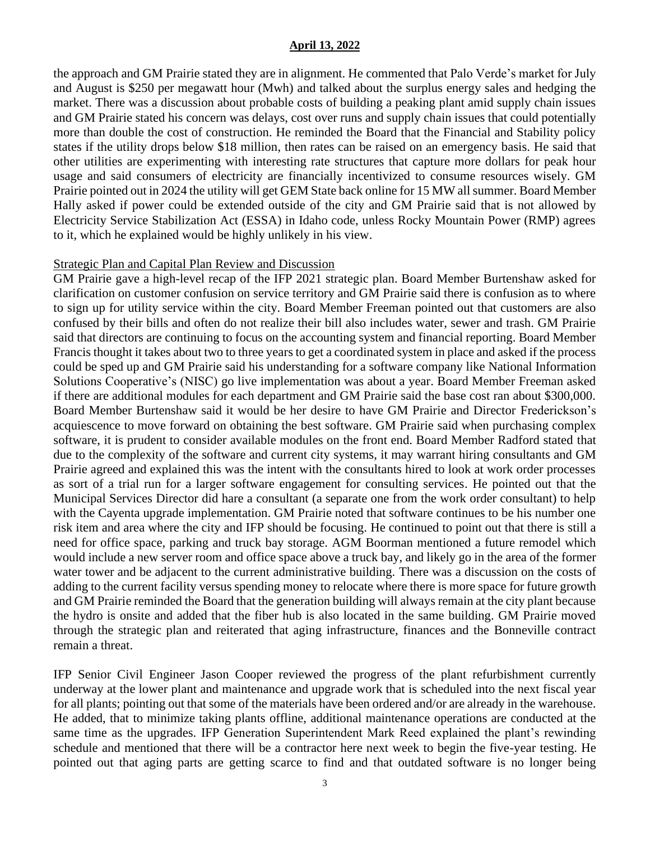the approach and GM Prairie stated they are in alignment. He commented that Palo Verde's market for July and August is \$250 per megawatt hour (Mwh) and talked about the surplus energy sales and hedging the market. There was a discussion about probable costs of building a peaking plant amid supply chain issues and GM Prairie stated his concern was delays, cost over runs and supply chain issues that could potentially more than double the cost of construction. He reminded the Board that the Financial and Stability policy states if the utility drops below \$18 million, then rates can be raised on an emergency basis. He said that other utilities are experimenting with interesting rate structures that capture more dollars for peak hour usage and said consumers of electricity are financially incentivized to consume resources wisely. GM Prairie pointed out in 2024 the utility will get GEM State back online for 15 MW all summer. Board Member Hally asked if power could be extended outside of the city and GM Prairie said that is not allowed by Electricity Service Stabilization Act (ESSA) in Idaho code, unless Rocky Mountain Power (RMP) agrees to it, which he explained would be highly unlikely in his view.

## Strategic Plan and Capital Plan Review and Discussion

GM Prairie gave a high-level recap of the IFP 2021 strategic plan. Board Member Burtenshaw asked for clarification on customer confusion on service territory and GM Prairie said there is confusion as to where to sign up for utility service within the city. Board Member Freeman pointed out that customers are also confused by their bills and often do not realize their bill also includes water, sewer and trash. GM Prairie said that directors are continuing to focus on the accounting system and financial reporting. Board Member Francis thought it takes about two to three years to get a coordinated system in place and asked if the process could be sped up and GM Prairie said his understanding for a software company like National Information Solutions Cooperative's (NISC) go live implementation was about a year. Board Member Freeman asked if there are additional modules for each department and GM Prairie said the base cost ran about \$300,000. Board Member Burtenshaw said it would be her desire to have GM Prairie and Director Frederickson's acquiescence to move forward on obtaining the best software. GM Prairie said when purchasing complex software, it is prudent to consider available modules on the front end. Board Member Radford stated that due to the complexity of the software and current city systems, it may warrant hiring consultants and GM Prairie agreed and explained this was the intent with the consultants hired to look at work order processes as sort of a trial run for a larger software engagement for consulting services. He pointed out that the Municipal Services Director did hare a consultant (a separate one from the work order consultant) to help with the Cayenta upgrade implementation. GM Prairie noted that software continues to be his number one risk item and area where the city and IFP should be focusing. He continued to point out that there is still a need for office space, parking and truck bay storage. AGM Boorman mentioned a future remodel which would include a new server room and office space above a truck bay, and likely go in the area of the former water tower and be adjacent to the current administrative building. There was a discussion on the costs of adding to the current facility versus spending money to relocate where there is more space for future growth and GM Prairie reminded the Board that the generation building will always remain at the city plant because the hydro is onsite and added that the fiber hub is also located in the same building. GM Prairie moved through the strategic plan and reiterated that aging infrastructure, finances and the Bonneville contract remain a threat.

IFP Senior Civil Engineer Jason Cooper reviewed the progress of the plant refurbishment currently underway at the lower plant and maintenance and upgrade work that is scheduled into the next fiscal year for all plants; pointing out that some of the materials have been ordered and/or are already in the warehouse. He added, that to minimize taking plants offline, additional maintenance operations are conducted at the same time as the upgrades. IFP Generation Superintendent Mark Reed explained the plant's rewinding schedule and mentioned that there will be a contractor here next week to begin the five-year testing. He pointed out that aging parts are getting scarce to find and that outdated software is no longer being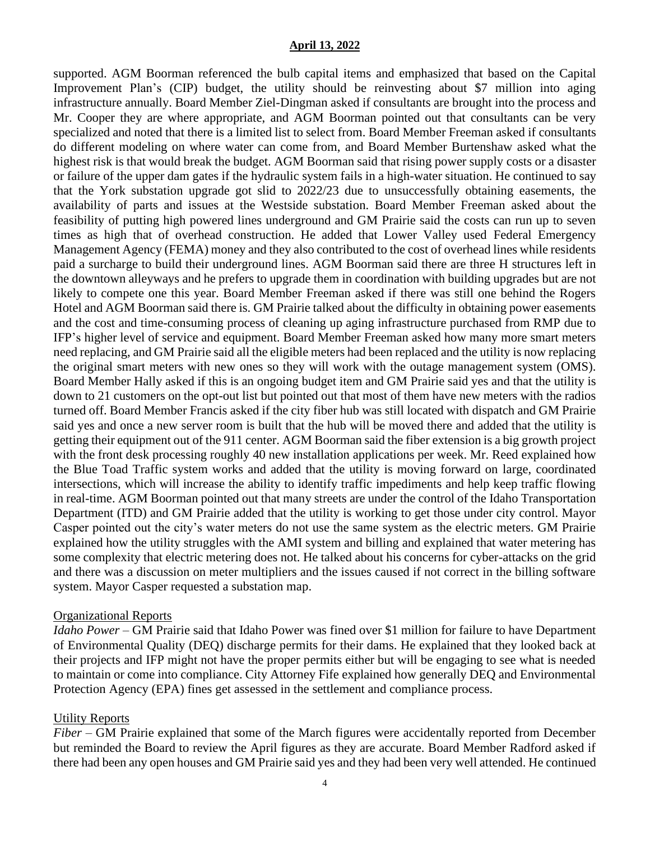supported. AGM Boorman referenced the bulb capital items and emphasized that based on the Capital Improvement Plan's (CIP) budget, the utility should be reinvesting about \$7 million into aging infrastructure annually. Board Member Ziel-Dingman asked if consultants are brought into the process and Mr. Cooper they are where appropriate, and AGM Boorman pointed out that consultants can be very specialized and noted that there is a limited list to select from. Board Member Freeman asked if consultants do different modeling on where water can come from, and Board Member Burtenshaw asked what the highest risk is that would break the budget. AGM Boorman said that rising power supply costs or a disaster or failure of the upper dam gates if the hydraulic system fails in a high-water situation. He continued to say that the York substation upgrade got slid to 2022/23 due to unsuccessfully obtaining easements, the availability of parts and issues at the Westside substation. Board Member Freeman asked about the feasibility of putting high powered lines underground and GM Prairie said the costs can run up to seven times as high that of overhead construction. He added that Lower Valley used Federal Emergency Management Agency (FEMA) money and they also contributed to the cost of overhead lines while residents paid a surcharge to build their underground lines. AGM Boorman said there are three H structures left in the downtown alleyways and he prefers to upgrade them in coordination with building upgrades but are not likely to compete one this year. Board Member Freeman asked if there was still one behind the Rogers Hotel and AGM Boorman said there is. GM Prairie talked about the difficulty in obtaining power easements and the cost and time-consuming process of cleaning up aging infrastructure purchased from RMP due to IFP's higher level of service and equipment. Board Member Freeman asked how many more smart meters need replacing, and GM Prairie said all the eligible meters had been replaced and the utility is now replacing the original smart meters with new ones so they will work with the outage management system (OMS). Board Member Hally asked if this is an ongoing budget item and GM Prairie said yes and that the utility is down to 21 customers on the opt-out list but pointed out that most of them have new meters with the radios turned off. Board Member Francis asked if the city fiber hub was still located with dispatch and GM Prairie said yes and once a new server room is built that the hub will be moved there and added that the utility is getting their equipment out of the 911 center. AGM Boorman said the fiber extension is a big growth project with the front desk processing roughly 40 new installation applications per week. Mr. Reed explained how the Blue Toad Traffic system works and added that the utility is moving forward on large, coordinated intersections, which will increase the ability to identify traffic impediments and help keep traffic flowing in real-time. AGM Boorman pointed out that many streets are under the control of the Idaho Transportation Department (ITD) and GM Prairie added that the utility is working to get those under city control. Mayor Casper pointed out the city's water meters do not use the same system as the electric meters. GM Prairie explained how the utility struggles with the AMI system and billing and explained that water metering has some complexity that electric metering does not. He talked about his concerns for cyber-attacks on the grid and there was a discussion on meter multipliers and the issues caused if not correct in the billing software system. Mayor Casper requested a substation map.

## Organizational Reports

*Idaho Power* – GM Prairie said that Idaho Power was fined over \$1 million for failure to have Department of Environmental Quality (DEQ) discharge permits for their dams. He explained that they looked back at their projects and IFP might not have the proper permits either but will be engaging to see what is needed to maintain or come into compliance. City Attorney Fife explained how generally DEQ and Environmental Protection Agency (EPA) fines get assessed in the settlement and compliance process.

## Utility Reports

*Fiber –* GM Prairie explained that some of the March figures were accidentally reported from December but reminded the Board to review the April figures as they are accurate. Board Member Radford asked if there had been any open houses and GM Prairie said yes and they had been very well attended. He continued